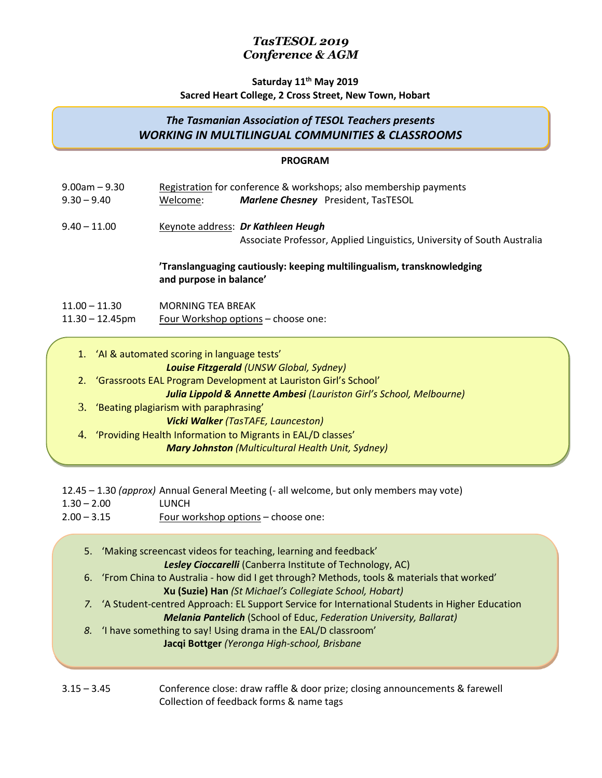# **Saturday 11 th May 2019**

## **Sacred Heart College, 2 Cross Street, New Town, Hobart**

## *The Tasmanian Association of TESOL Teachers presents WORKING IN MULTILINGUAL COMMUNITIES & CLASSROOMS*

#### **PROGRAM**

| $9.00$ am $-9.30$<br>$9.30 - 9.40$   | Welcome:                                                                                          | Registration for conference & workshops; also membership payments<br>Marlene Chesney President, TasTESOL          |  |
|--------------------------------------|---------------------------------------------------------------------------------------------------|-------------------------------------------------------------------------------------------------------------------|--|
| $9.40 - 11.00$                       |                                                                                                   | Keynote address: Dr Kathleen Heugh<br>Associate Professor, Applied Linguistics, University of South Australia     |  |
|                                      | 'Translanguaging cautiously: keeping multilingualism, transknowledging<br>and purpose in balance' |                                                                                                                   |  |
| $11.00 - 11.30$<br>MORNING TEA BREAK |                                                                                                   |                                                                                                                   |  |
| $11.30 - 12.45$ pm                   | Four Workshop options – choose one:                                                               |                                                                                                                   |  |
| 2.                                   | 1. 'Al & automated scoring in language tests'                                                     | <b>Louise Fitzgerald (UNSW Global, Sydney)</b><br>'Grassroots EAL Program Development at Lauriston Girl's School' |  |

*Julia Lippold & Annette Ambesi (Lauriston Girl's School, Melbourne)*

- 3. 'Beating plagiarism with paraphrasing' *Vicki Walker (TasTAFE, Launceston)*
- 4. 'Providing Health Information to Migrants in EAL/D classes' *Mary Johnston (Multicultural Health Unit, Sydney)*

12.45 – 1.30 *(approx)* Annual General Meeting (- all welcome, but only members may vote) 1.30 – 2.00 LUNCH

2.00 – 3.15 Four workshop options – choose one:

|  | 5. 'Making screencast videos for teaching, learning and feedback'                                 |  |
|--|---------------------------------------------------------------------------------------------------|--|
|  | Lesley Cioccarelli (Canberra Institute of Technology, AC)                                         |  |
|  | 6. 'From China to Australia - how did I get through? Methods, tools & materials that worked'      |  |
|  | Xu (Suzie) Han (St Michael's Collegiate School, Hobart)                                           |  |
|  | 7. 'A Student-centred Approach: EL Support Service for International Students in Higher Education |  |
|  | <b>Melania Pantelich</b> (School of Educ, Federation University, Ballarat)                        |  |
|  | 8. 'I have something to say! Using drama in the EAL/D classroom'                                  |  |
|  | Jacqi Bottger (Yeronga High-school, Brisbane                                                      |  |
|  |                                                                                                   |  |
|  |                                                                                                   |  |

3.15 – 3.45 Conference close: draw raffle & door prize; closing announcements & farewell Collection of feedback forms & name tags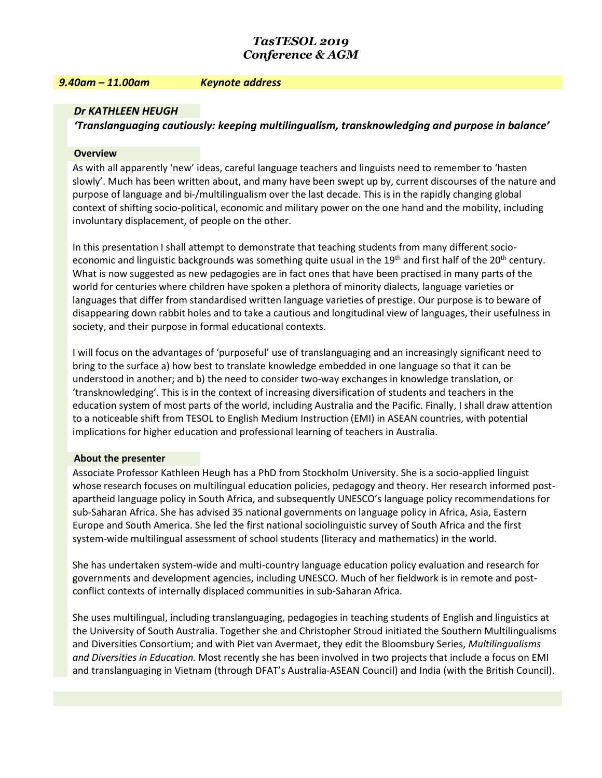#### *9.40am – 11.00am Keynote address*

#### *Dr KATHLEEN HEUGH*

*'Translanguaging cautiously: keeping multilingualism, transknowledging and purpose in balance'* 

#### **Overview**

As with all apparently 'new' ideas, careful language teachers and linguists need to remember to 'hasten slowly'. Much has been written about, and many have been swept up by, current discourses of the nature and purpose of language and bi-/multilingualism over the last decade. This is in the rapidly changing global context of shifting socio-political, economic and military power on the one hand and the mobility, including involuntary displacement, of people on the other.

In this presentation I shall attempt to demonstrate that teaching students from many different socioeconomic and linguistic backgrounds was something quite usual in the 19<sup>th</sup> and first half of the 20<sup>th</sup> century. What is now suggested as new pedagogies are in fact ones that have been practised in many parts of the world for centuries where children have spoken a plethora of minority dialects, language varieties or languages that differ from standardised written language varieties of prestige. Our purpose is to beware of disappearing down rabbit holes and to take a cautious and longitudinal view of languages, their usefulness in society, and their purpose in formal educational contexts.

I will focus on the advantages of 'purposeful' use of translanguaging and an increasingly significant need to bring to the surface a) how best to translate knowledge embedded in one language so that it can be understood in another; and b) the need to consider two-way exchanges in knowledge translation, or 'transknowledging'. This is in the context of increasing diversification of students and teachers in the education system of most parts of the world, including Australia and the Pacific. Finally, I shall draw attention to a noticeable shift from TESOL to English Medium Instruction (EMI) in ASEAN countries, with potential implications for higher education and professional learning of teachers in Australia.

#### **About the presenter**

Associate Professor Kathleen Heugh has a PhD from Stockholm University. She is a socio-applied linguist whose research focuses on multilingual education policies, pedagogy and theory. Her research informed postapartheid language policy in South Africa, and subsequently UNESCO's language policy recommendations for sub-Saharan Africa. She has advised 35 national governments on language policy in Africa, Asia, Eastern Europe and South America. She led the first national sociolinguistic survey of South Africa and the first system-wide multilingual assessment of school students (literacy and mathematics) in the world.

She has undertaken system-wide and multi-country language education policy evaluation and research for governments and development agencies, including UNESCO. Much of her fieldwork is in remote and postconflict contexts of internally displaced communities in sub-Saharan Africa.

She uses multilingual, including translanguaging, pedagogies in teaching students of English and linguistics at the University of South Australia. Together she and Christopher Stroud initiated the Southern Multilingualisms and Diversities Consortium; and with Piet van Avermaet, they edit the Bloomsbury Series, *Multilingualisms and Diversities in Education.* Most recently she has been involved in two projects that include a focus on EMI and translanguaging in Vietnam (through DFAT's Australia-ASEAN Council) and India (with the British Council).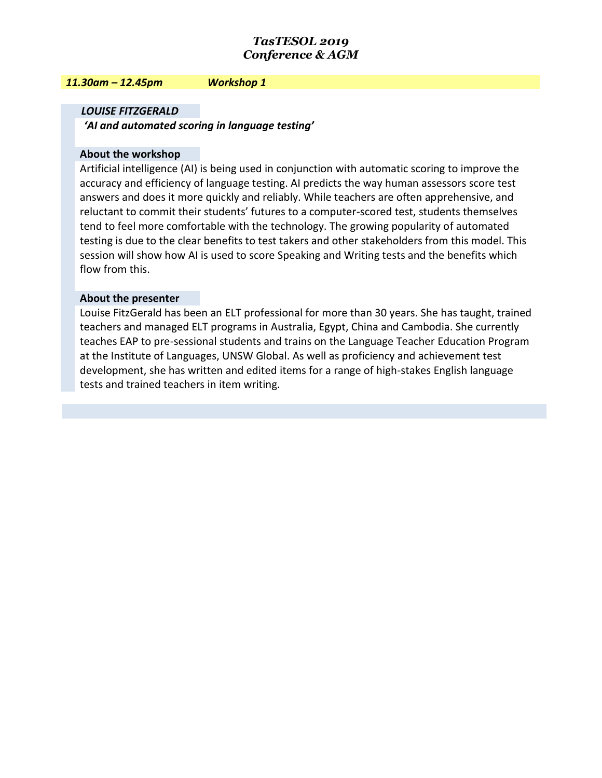#### *11.30am – 12.45pm Workshop 1*

## *LOUISE FITZGERALD*

*'AI and automated scoring in language testing'*

#### **About the workshop**

Artificial intelligence (AI) is being used in conjunction with automatic scoring to improve the accuracy and efficiency of language testing. AI predicts the way human assessors score test answers and does it more quickly and reliably. While teachers are often apprehensive, and reluctant to commit their students' futures to a computer-scored test, students themselves tend to feel more comfortable with the technology. The growing popularity of automated testing is due to the clear benefits to test takers and other stakeholders from this model. This session will show how AI is used to score Speaking and Writing tests and the benefits which flow from this.

#### **About the presenter**

Louise FitzGerald has been an ELT professional for more than 30 years. She has taught, trained teachers and managed ELT programs in Australia, Egypt, China and Cambodia. She currently teaches EAP to pre-sessional students and trains on the Language Teacher Education Program at the Institute of Languages, UNSW Global. As well as proficiency and achievement test development, she has written and edited items for a range of high-stakes English language tests and trained teachers in item writing.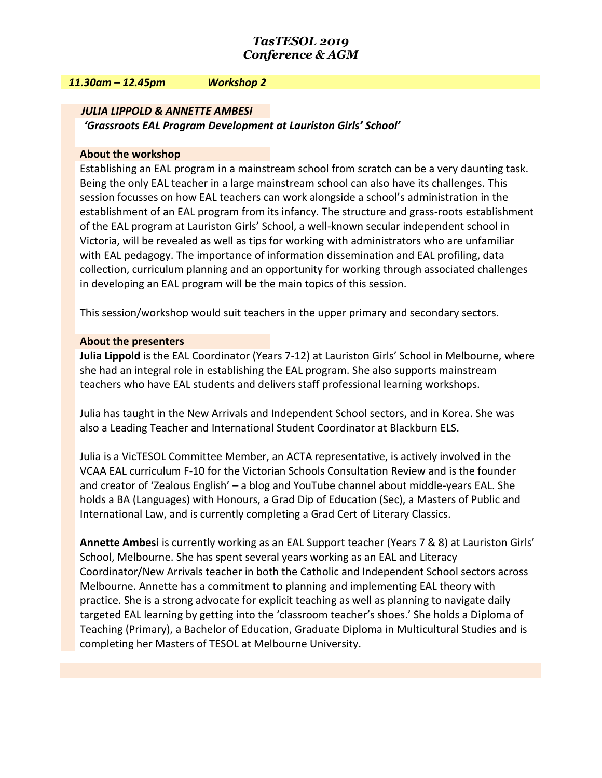#### *11.30am – 12.45pm Workshop 2*

#### *JULIA LIPPOLD & ANNETTE AMBESI*

*'Grassroots EAL Program Development at Lauriston Girls' School'*

#### **About the workshop**

Establishing an EAL program in a mainstream school from scratch can be a very daunting task. Being the only EAL teacher in a large mainstream school can also have its challenges. This session focusses on how EAL teachers can work alongside a school's administration in the establishment of an EAL program from its infancy. The structure and grass-roots establishment of the EAL program at Lauriston Girls' School, a well-known secular independent school in Victoria, will be revealed as well as tips for working with administrators who are unfamiliar with EAL pedagogy. The importance of information dissemination and EAL profiling, data collection, curriculum planning and an opportunity for working through associated challenges in developing an EAL program will be the main topics of this session.

This session/workshop would suit teachers in the upper primary and secondary sectors.

#### **About the presenters**

**Julia Lippold** is the EAL Coordinator (Years 7-12) at Lauriston Girls' School in Melbourne, where she had an integral role in establishing the EAL program. She also supports mainstream teachers who have EAL students and delivers staff professional learning workshops.

Julia has taught in the New Arrivals and Independent School sectors, and in Korea. She was also a Leading Teacher and International Student Coordinator at Blackburn ELS.

Julia is a VicTESOL Committee Member, an ACTA representative, is actively involved in the VCAA EAL curriculum F-10 for the Victorian Schools Consultation Review and is the founder and creator of 'Zealous English' – a blog and YouTube channel about middle-years EAL. She holds a BA (Languages) with Honours, a Grad Dip of Education (Sec), a Masters of Public and International Law, and is currently completing a Grad Cert of Literary Classics.

**Annette Ambesi** is currently working as an EAL Support teacher (Years 7 & 8) at Lauriston Girls' School, Melbourne. She has spent several years working as an EAL and Literacy Coordinator/New Arrivals teacher in both the Catholic and Independent School sectors across Melbourne. Annette has a commitment to planning and implementing EAL theory with practice. She is a strong advocate for explicit teaching as well as planning to navigate daily targeted EAL learning by getting into the 'classroom teacher's shoes.' She holds a Diploma of Teaching (Primary), a Bachelor of Education, Graduate Diploma in Multicultural Studies and is completing her Masters of TESOL at Melbourne University.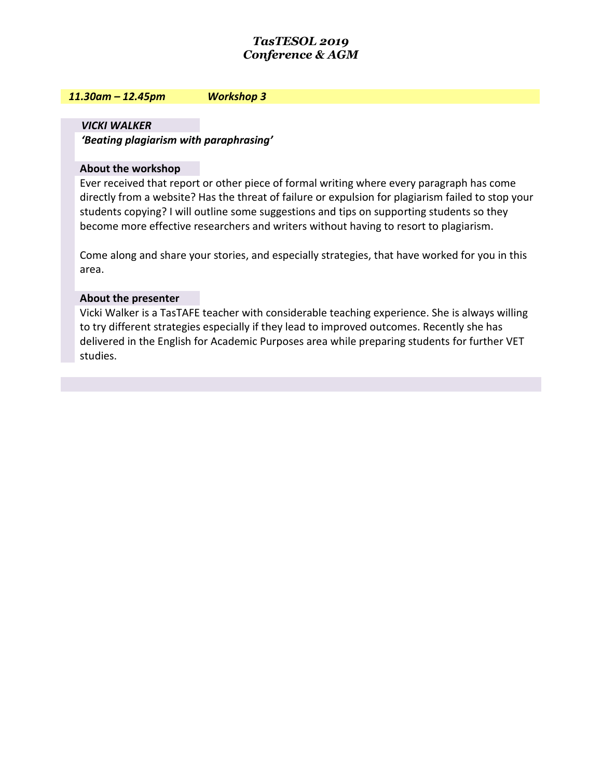#### *11.30am – 12.45pm Workshop 3*

*VICKI WALKER 'Beating plagiarism with paraphrasing'* 

#### **About the workshop**

Ever received that report or other piece of formal writing where every paragraph has come directly from a website? Has the threat of failure or expulsion for plagiarism failed to stop your students copying? I will outline some suggestions and tips on supporting students so they become more effective researchers and writers without having to resort to plagiarism.

Come along and share your stories, and especially strategies, that have worked for you in this area.

#### **About the presenter**

Vicki Walker is a TasTAFE teacher with considerable teaching experience. She is always willing to try different strategies especially if they lead to improved outcomes. Recently she has delivered in the English for Academic Purposes area while preparing students for further VET studies.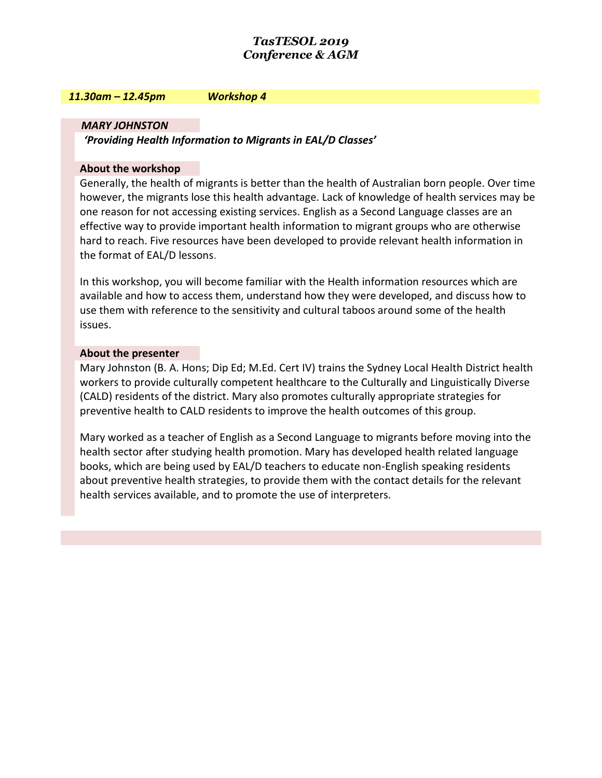#### *11.30am – 12.45pm Workshop 4*

#### *MARY JOHNSTON*

*'Providing Health Information to Migrants in EAL/D Classes'* 

#### **About the workshop**

Generally, the health of migrants is better than the health of Australian born people. Over time however, the migrants lose this health advantage. Lack of knowledge of health services may be one reason for not accessing existing services. English as a Second Language classes are an effective way to provide important health information to migrant groups who are otherwise hard to reach. Five resources have been developed to provide relevant health information in the format of EAL/D lessons.

In this workshop, you will become familiar with the Health information resources which are available and how to access them, understand how they were developed, and discuss how to use them with reference to the sensitivity and cultural taboos around some of the health issues.

#### **About the presenter**

Mary Johnston (B. A. Hons; Dip Ed; M.Ed. Cert IV) trains the Sydney Local Health District health workers to provide culturally competent healthcare to the Culturally and Linguistically Diverse (CALD) residents of the district. Mary also promotes culturally appropriate strategies for preventive health to CALD residents to improve the health outcomes of this group.

Mary worked as a teacher of English as a Second Language to migrants before moving into the health sector after studying health promotion. Mary has developed health related language books, which are being used by EAL/D teachers to educate non-English speaking residents about preventive health strategies, to provide them with the contact details for the relevant health services available, and to promote the use of interpreters.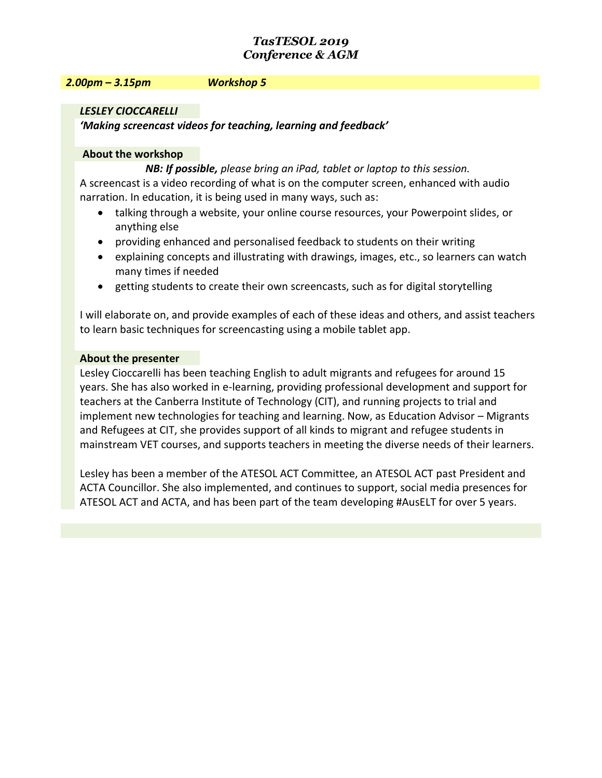#### *2.00pm – 3.15pm Workshop 5*

### *LESLEY CIOCCARELLI*

*'Making screencast videos for teaching, learning and feedback'* 

#### **About the workshop**

*NB: If possible, please bring an iPad, tablet or laptop to this session.*

A screencast is a video recording of what is on the computer screen, enhanced with audio narration. In education, it is being used in many ways, such as:

- talking through a website, your online course resources, your Powerpoint slides, or anything else
- providing enhanced and personalised feedback to students on their writing
- explaining concepts and illustrating with drawings, images, etc., so learners can watch many times if needed
- getting students to create their own screencasts, such as for digital storytelling

I will elaborate on, and provide examples of each of these ideas and others, and assist teachers to learn basic techniques for screencasting using a mobile tablet app.

#### **About the presenter**

Lesley Cioccarelli has been teaching English to adult migrants and refugees for around 15 years. She has also worked in e-learning, providing professional development and support for teachers at the Canberra Institute of Technology (CIT), and running projects to trial and implement new technologies for teaching and learning. Now, as Education Advisor – Migrants and Refugees at CIT, she provides support of all kinds to migrant and refugee students in mainstream VET courses, and supports teachers in meeting the diverse needs of their learners.

Lesley has been a member of the ATESOL ACT Committee, an ATESOL ACT past President and ACTA Councillor. She also implemented, and continues to support, social media presences for ATESOL ACT and ACTA, and has been part of the team developing #AusELT for over 5 years.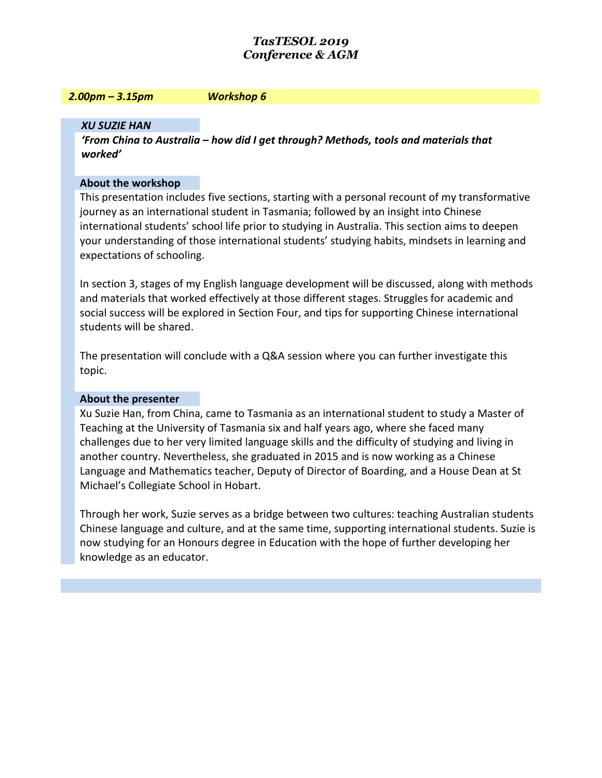#### *2.00pm – 3.15pm Workshop 6*

## *XU SUZIE HAN*

*'From China to Australia – how did I get through? Methods, tools and materials that worked'* 

#### **About the workshop**

This presentation includes five sections, starting with a personal recount of my transformative journey as an international student in Tasmania; followed by an insight into Chinese international students' school life prior to studying in Australia. This section aims to deepen your understanding of those international students' studying habits, mindsets in learning and expectations of schooling.

In section 3, stages of my English language development will be discussed, along with methods and materials that worked effectively at those different stages. Struggles for academic and social success will be explored in Section Four, and tips for supporting Chinese international students will be shared.

The presentation will conclude with a Q&A session where you can further investigate this topic.

### **About the presenter**

Xu Suzie Han, from China, came to Tasmania as an international student to study a Master of Teaching at the University of Tasmania six and half years ago, where she faced many challenges due to her very limited language skills and the difficulty of studying and living in another country. Nevertheless, she graduated in 2015 and is now working as a Chinese Language and Mathematics teacher, Deputy of Director of Boarding, and a House Dean at St Michael's Collegiate School in Hobart.

Through her work, Suzie serves as a bridge between two cultures: teaching Australian students Chinese language and culture, and at the same time, supporting international students. Suzie is now studying for an Honours degree in Education with the hope of further developing her knowledge as an educator.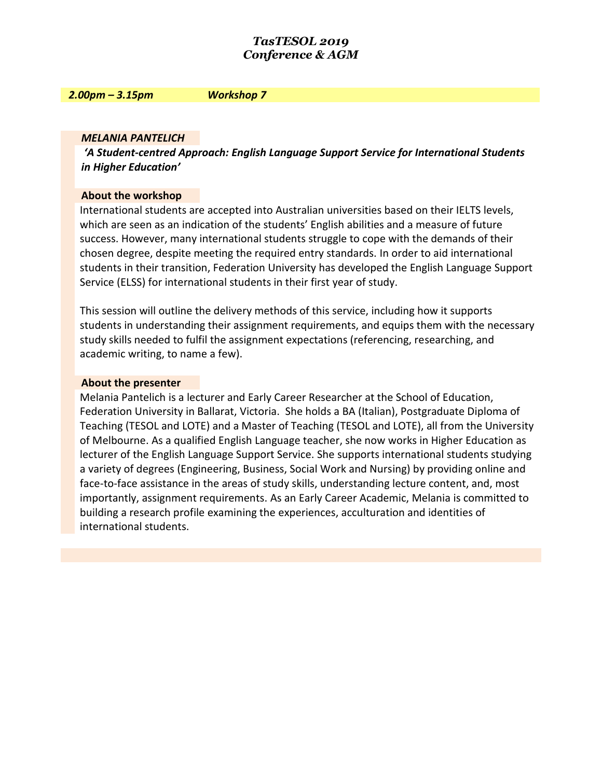#### *2.00pm – 3.15pm Workshop 7*

#### *MELANIA PANTELICH*

*'A Student-centred Approach: English Language Support Service for International Students in Higher Education'* 

#### **About the workshop**

International students are accepted into Australian universities based on their IELTS levels, which are seen as an indication of the students' English abilities and a measure of future success. However, many international students struggle to cope with the demands of their chosen degree, despite meeting the required entry standards. In order to aid international students in their transition, Federation University has developed the English Language Support Service (ELSS) for international students in their first year of study.

This session will outline the delivery methods of this service, including how it supports students in understanding their assignment requirements, and equips them with the necessary study skills needed to fulfil the assignment expectations (referencing, researching, and academic writing, to name a few).

#### **About the presenter**

Melania Pantelich is a lecturer and Early Career Researcher at the School of Education, Federation University in Ballarat, Victoria. She holds a BA (Italian), Postgraduate Diploma of Teaching (TESOL and LOTE) and a Master of Teaching (TESOL and LOTE), all from the University of Melbourne. As a qualified English Language teacher, she now works in Higher Education as lecturer of the English Language Support Service. She supports international students studying a variety of degrees (Engineering, Business, Social Work and Nursing) by providing online and face-to-face assistance in the areas of study skills, understanding lecture content, and, most importantly, assignment requirements. As an Early Career Academic, Melania is committed to building a research profile examining the experiences, acculturation and identities of international students.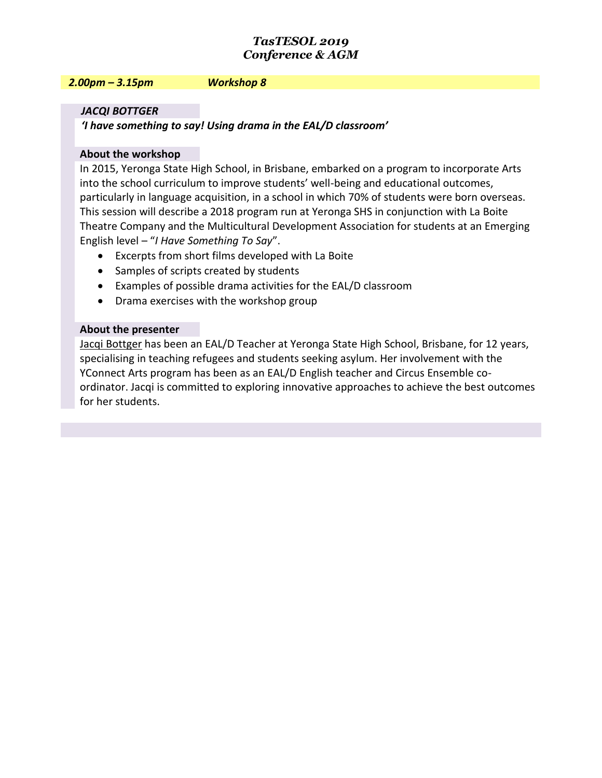#### *2.00pm – 3.15pm Workshop 8*

#### *JACQI BOTTGER*

*'I have something to say! Using drama in the EAL/D classroom'* 

#### **About the workshop**

In 2015, Yeronga State High School, in Brisbane, embarked on a program to incorporate Arts into the school curriculum to improve students' well-being and educational outcomes, particularly in language acquisition, in a school in which 70% of students were born overseas. This session will describe a 2018 program run at Yeronga SHS in conjunction with La Boite Theatre Company and the Multicultural Development Association for students at an Emerging English level – "*I Have Something To Say*".

- Excerpts from short films developed with La Boite
- Samples of scripts created by students
- Examples of possible drama activities for the EAL/D classroom
- Drama exercises with the workshop group

#### **About the presenter**

Jacqi Bottger has been an EAL/D Teacher at Yeronga State High School, Brisbane, for 12 years, specialising in teaching refugees and students seeking asylum. Her involvement with the YConnect Arts program has been as an EAL/D English teacher and Circus Ensemble coordinator. Jacqi is committed to exploring innovative approaches to achieve the best outcomes for her students.